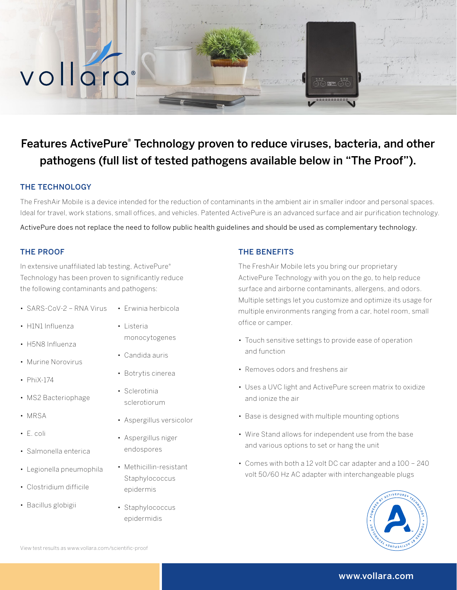# Features ActivePure® Technology proven to reduce viruses, bacteria, and other pathogens (full list of tested pathogens available below in "The Proof").

## THE TECHNOLOGY

vollard

The FreshAir Mobile is a device intended for the reduction of contaminants in the ambient air in smaller indoor and personal spaces. Ideal for travel, work stations, small offices, and vehicles. Patented ActivePure is an advanced surface and air purification technology.

ActivePure does not replace the need to follow public health guidelines and should be used as complementary technology.

## THE PROOF

In extensive unaffiliated lab testing, ActivePure® Technology has been proven to significantly reduce the following contaminants and pathogens:

- SARS-CoV-2 RNA Virus
- H1N1 Influenza
- H5N8 Influenza
- Murine Norovirus
- PhiX-174
- MS2 Bacteriophage
- MRSA
- E. coli
- Salmonella enterica
- Legionella pneumophila
- Clostridium difficile
- Bacillus globigii
- Erwinia herbicola
- Listeria monocytogenes
- Candida auris
- Botrytis cinerea
- Sclerotinia sclerotiorum
- Aspergillus versicolor
- Aspergillus niger endospores
- Methicillin-resistant **Staphylococcus** epidermis
- Staphylococcus epidermidis

#### THE BENEFITS

The FreshAir Mobile lets you bring our proprietary ActivePure Technology with you on the go, to help reduce surface and airborne contaminants, allergens, and odors. Multiple settings let you customize and optimize its usage for multiple environments ranging from a car, hotel room, small office or camper.

- Touch sensitive settings to provide ease of operation and function
- Removes odors and freshens air
- Uses a UVC light and ActivePure screen matrix to oxidize and ionize the air
- Base is designed with multiple mounting options
- Wire Stand allows for independent use from the base and various options to set or hang the unit
- Comes with both a 12 volt DC car adapter and a 100 240 volt 50/60 Hz AC adapter with interchangeable plugs



#### www.vollara.com